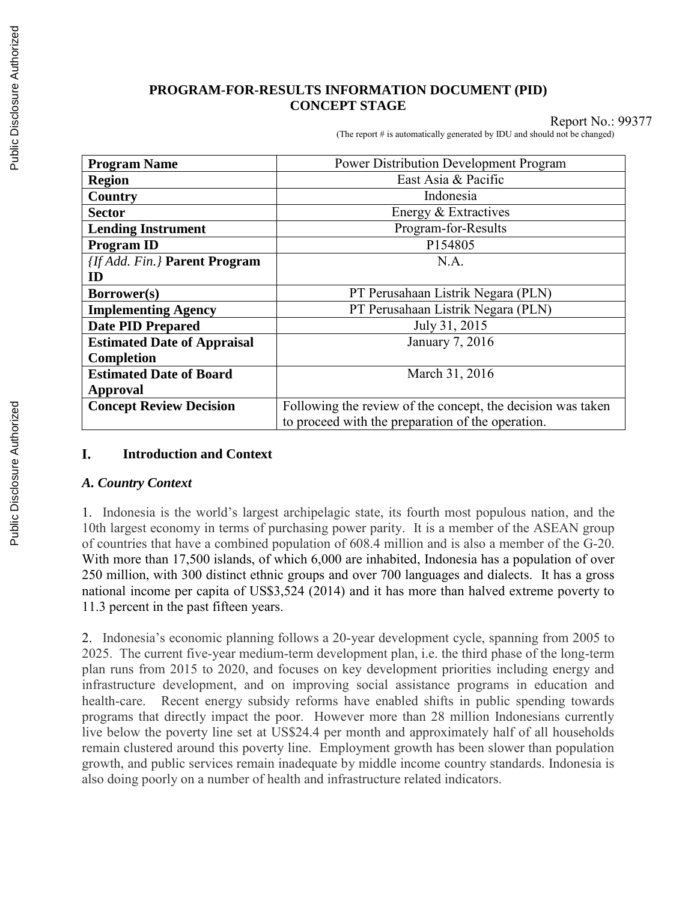#### **PROGRAM-FOR-RESULTS INFORMATION DOCUMENT (PID) CONCEPT STAGE**

Report No.: 99377

(The report # is automatically generated by IDU and should not be changed)

| <b>Program Name</b>                | <b>Power Distribution Development Program</b>               |
|------------------------------------|-------------------------------------------------------------|
| <b>Region</b>                      | East Asia & Pacific                                         |
| Country                            | Indonesia                                                   |
| <b>Sector</b>                      | Energy & Extractives                                        |
| <b>Lending Instrument</b>          | Program-for-Results                                         |
| <b>Program ID</b>                  | P154805                                                     |
| [If Add. Fin.] Parent Program      | N.A.                                                        |
| ID                                 |                                                             |
| Borrower(s)                        | PT Perusahaan Listrik Negara (PLN)                          |
| <b>Implementing Agency</b>         | PT Perusahaan Listrik Negara (PLN)                          |
| <b>Date PID Prepared</b>           | July 31, 2015                                               |
| <b>Estimated Date of Appraisal</b> | January 7, 2016                                             |
| Completion                         |                                                             |
| <b>Estimated Date of Board</b>     | March 31, 2016                                              |
| Approval                           |                                                             |
| <b>Concept Review Decision</b>     | Following the review of the concept, the decision was taken |
|                                    | to proceed with the preparation of the operation.           |

#### **Introduction and Context**  L.

#### *A. Country Context*

1. Indonesia is the world's largest archipelagic state, its fourth most populous nation, and the 10th largest economy in terms of purchasing power parity. It is a member of the ASEAN group of countries that have a combined population of 608.4 million and is also a member of the G-20. With more than 17,500 islands, of which 6,000 are inhabited, Indonesia has a population of over 250 million, with 300 distinct ethnic groups and over 700 languages and dialects. It has a gross national income per capita of US\$3,524 (2014) and it has more than halved extreme poverty to 11.3 percent in the past fifteen years.

2. Indonesia's economic planning follows a 20-year development cycle, spanning from 2005 to 2025. The current five-year medium-term development plan, i.e. the third phase of the long-term plan runs from 2015 to 2020, and focuses on key development priorities including energy and infrastructure development, and on improving social assistance programs in education and health-care. Recent energy subsidy reforms have enabled shifts in public spending towards programs that directly impact the poor. However more than 28 million Indonesians currently live below the poverty line set at US\$24.4 per month and approximately half of all households remain clustered around this poverty line. Employment growth has been slower than population growth, and public services remain inadequate by middle income country standards. Indonesia is also doing poorly on a number of health and infrastructure related indicators.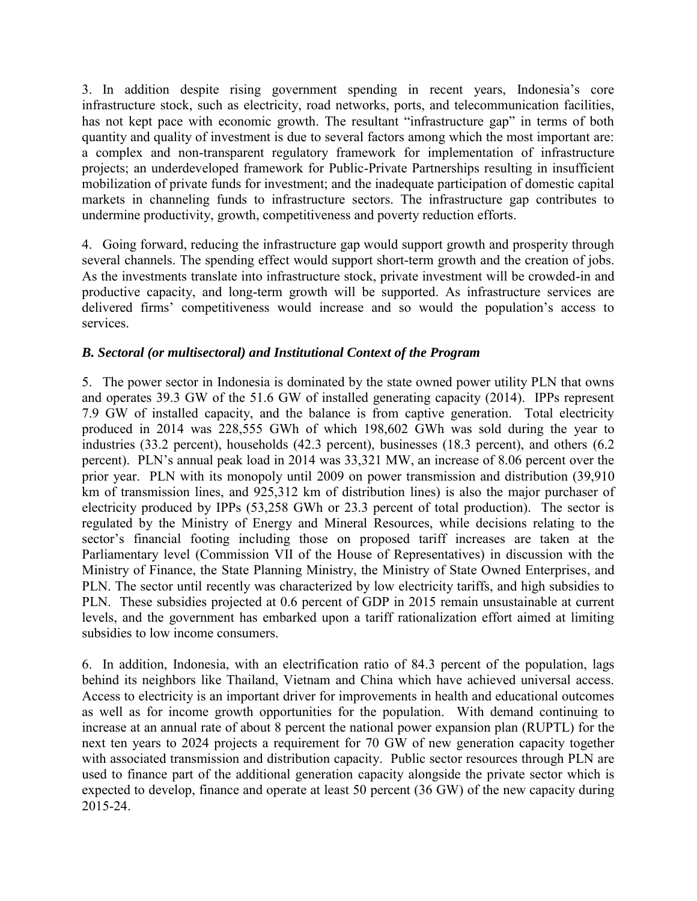3. In addition despite rising government spending in recent years, Indonesia's core infrastructure stock, such as electricity, road networks, ports, and telecommunication facilities, has not kept pace with economic growth. The resultant "infrastructure gap" in terms of both quantity and quality of investment is due to several factors among which the most important are: a complex and non-transparent regulatory framework for implementation of infrastructure projects; an underdeveloped framework for Public-Private Partnerships resulting in insufficient mobilization of private funds for investment; and the inadequate participation of domestic capital markets in channeling funds to infrastructure sectors. The infrastructure gap contributes to undermine productivity, growth, competitiveness and poverty reduction efforts.

4. Going forward, reducing the infrastructure gap would support growth and prosperity through several channels. The spending effect would support short-term growth and the creation of jobs. As the investments translate into infrastructure stock, private investment will be crowded-in and productive capacity, and long-term growth will be supported. As infrastructure services are delivered firms' competitiveness would increase and so would the population's access to services.

## *B. Sectoral (or multisectoral) and Institutional Context of the Program*

5. The power sector in Indonesia is dominated by the state owned power utility PLN that owns and operates 39.3 GW of the 51.6 GW of installed generating capacity (2014). IPPs represent 7.9 GW of installed capacity, and the balance is from captive generation. Total electricity produced in 2014 was 228,555 GWh of which 198,602 GWh was sold during the year to industries (33.2 percent), households (42.3 percent), businesses (18.3 percent), and others (6.2 percent). PLN's annual peak load in 2014 was 33,321 MW, an increase of 8.06 percent over the prior year. PLN with its monopoly until 2009 on power transmission and distribution (39,910 km of transmission lines, and 925,312 km of distribution lines) is also the major purchaser of electricity produced by IPPs (53,258 GWh or 23.3 percent of total production). The sector is regulated by the Ministry of Energy and Mineral Resources, while decisions relating to the sector's financial footing including those on proposed tariff increases are taken at the Parliamentary level (Commission VII of the House of Representatives) in discussion with the Ministry of Finance, the State Planning Ministry, the Ministry of State Owned Enterprises, and PLN. The sector until recently was characterized by low electricity tariffs, and high subsidies to PLN. These subsidies projected at 0.6 percent of GDP in 2015 remain unsustainable at current levels, and the government has embarked upon a tariff rationalization effort aimed at limiting subsidies to low income consumers.

6. In addition, Indonesia, with an electrification ratio of 84.3 percent of the population, lags behind its neighbors like Thailand, Vietnam and China which have achieved universal access. Access to electricity is an important driver for improvements in health and educational outcomes as well as for income growth opportunities for the population. With demand continuing to increase at an annual rate of about 8 percent the national power expansion plan (RUPTL) for the next ten years to 2024 projects a requirement for 70 GW of new generation capacity together with associated transmission and distribution capacity. Public sector resources through PLN are used to finance part of the additional generation capacity alongside the private sector which is expected to develop, finance and operate at least 50 percent (36 GW) of the new capacity during 2015-24.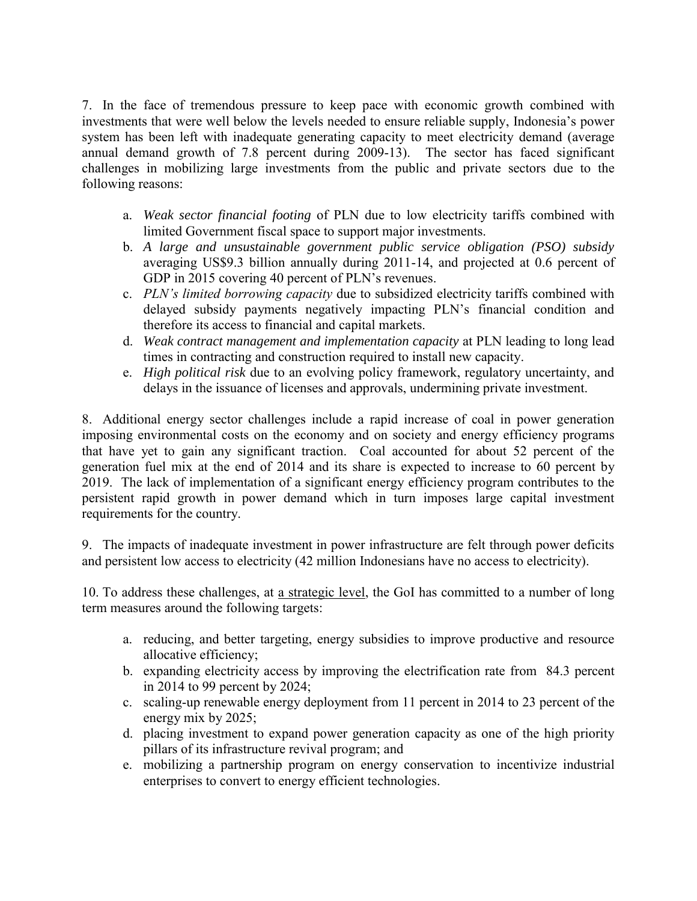7. In the face of tremendous pressure to keep pace with economic growth combined with investments that were well below the levels needed to ensure reliable supply, Indonesia's power system has been left with inadequate generating capacity to meet electricity demand (average annual demand growth of 7.8 percent during 2009-13). The sector has faced significant challenges in mobilizing large investments from the public and private sectors due to the following reasons:

- a. *Weak sector financial footing* of PLN due to low electricity tariffs combined with limited Government fiscal space to support major investments.
- b. *A large and unsustainable government public service obligation (PSO) subsidy* averaging US\$9.3 billion annually during 2011-14, and projected at 0.6 percent of GDP in 2015 covering 40 percent of PLN's revenues.
- c. *PLN's limited borrowing capacity* due to subsidized electricity tariffs combined with delayed subsidy payments negatively impacting PLN's financial condition and therefore its access to financial and capital markets.
- d. *Weak contract management and implementation capacity* at PLN leading to long lead times in contracting and construction required to install new capacity.
- e. *High political risk* due to an evolving policy framework, regulatory uncertainty, and delays in the issuance of licenses and approvals, undermining private investment.

8. Additional energy sector challenges include a rapid increase of coal in power generation imposing environmental costs on the economy and on society and energy efficiency programs that have yet to gain any significant traction. Coal accounted for about 52 percent of the generation fuel mix at the end of 2014 and its share is expected to increase to 60 percent by 2019. The lack of implementation of a significant energy efficiency program contributes to the persistent rapid growth in power demand which in turn imposes large capital investment requirements for the country.

9. The impacts of inadequate investment in power infrastructure are felt through power deficits and persistent low access to electricity (42 million Indonesians have no access to electricity).

10. To address these challenges, at a strategic level, the GoI has committed to a number of long term measures around the following targets:

- a. reducing, and better targeting, energy subsidies to improve productive and resource allocative efficiency;
- b. expanding electricity access by improving the electrification rate from 84.3 percent in 2014 to 99 percent by 2024;
- c. scaling-up renewable energy deployment from 11 percent in 2014 to 23 percent of the energy mix by 2025;
- d. placing investment to expand power generation capacity as one of the high priority pillars of its infrastructure revival program; and
- e. mobilizing a partnership program on energy conservation to incentivize industrial enterprises to convert to energy efficient technologies.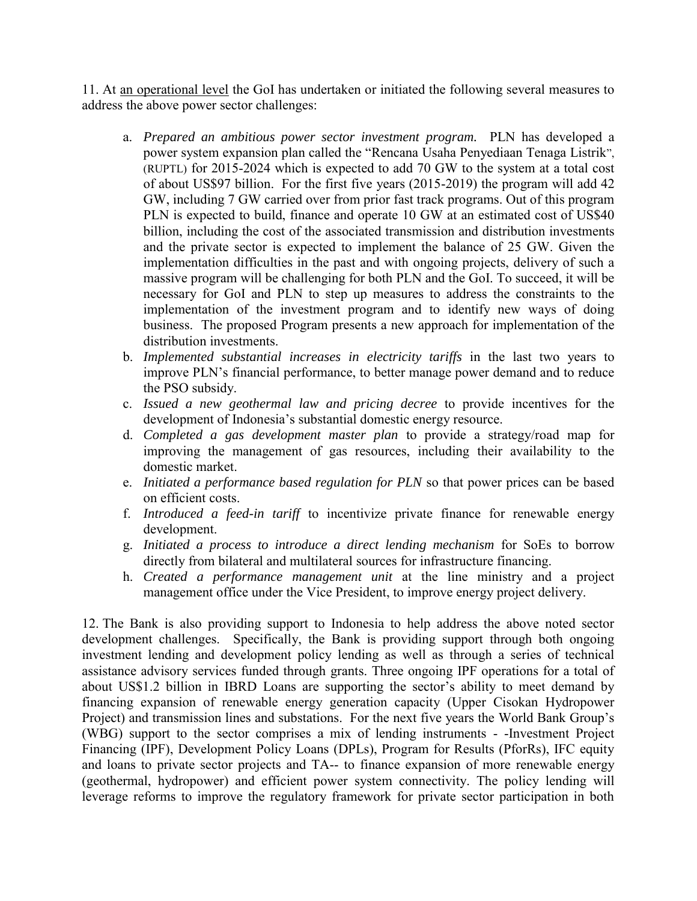11. At an operational level the GoI has undertaken or initiated the following several measures to address the above power sector challenges:

- a. *Prepared an ambitious power sector investment program.* PLN has developed a power system expansion plan called the "Rencana Usaha Penyediaan Tenaga Listrik", (RUPTL) for 2015-2024 which is expected to add 70 GW to the system at a total cost of about US\$97 billion. For the first five years (2015-2019) the program will add 42 GW, including 7 GW carried over from prior fast track programs. Out of this program PLN is expected to build, finance and operate 10 GW at an estimated cost of US\$40 billion, including the cost of the associated transmission and distribution investments and the private sector is expected to implement the balance of 25 GW. Given the implementation difficulties in the past and with ongoing projects, delivery of such a massive program will be challenging for both PLN and the GoI. To succeed, it will be necessary for GoI and PLN to step up measures to address the constraints to the implementation of the investment program and to identify new ways of doing business. The proposed Program presents a new approach for implementation of the distribution investments.
- b. *Implemented substantial increases in electricity tariffs* in the last two years to improve PLN's financial performance, to better manage power demand and to reduce the PSO subsidy.
- c. *Issued a new geothermal law and pricing decree* to provide incentives for the development of Indonesia's substantial domestic energy resource.
- d. *Completed a gas development master plan* to provide a strategy/road map for improving the management of gas resources, including their availability to the domestic market.
- e. *Initiated a performance based regulation for PLN* so that power prices can be based on efficient costs.
- f. *Introduced a feed-in tariff* to incentivize private finance for renewable energy development.
- g. *Initiated a process to introduce a direct lending mechanism* for SoEs to borrow directly from bilateral and multilateral sources for infrastructure financing.
- h. *Created a performance management unit* at the line ministry and a project management office under the Vice President, to improve energy project delivery.

12. The Bank is also providing support to Indonesia to help address the above noted sector development challenges. Specifically, the Bank is providing support through both ongoing investment lending and development policy lending as well as through a series of technical assistance advisory services funded through grants. Three ongoing IPF operations for a total of about US\$1.2 billion in IBRD Loans are supporting the sector's ability to meet demand by financing expansion of renewable energy generation capacity (Upper Cisokan Hydropower Project) and transmission lines and substations. For the next five years the World Bank Group's (WBG) support to the sector comprises a mix of lending instruments - -Investment Project Financing (IPF), Development Policy Loans (DPLs), Program for Results (PforRs), IFC equity and loans to private sector projects and TA-- to finance expansion of more renewable energy (geothermal, hydropower) and efficient power system connectivity. The policy lending will leverage reforms to improve the regulatory framework for private sector participation in both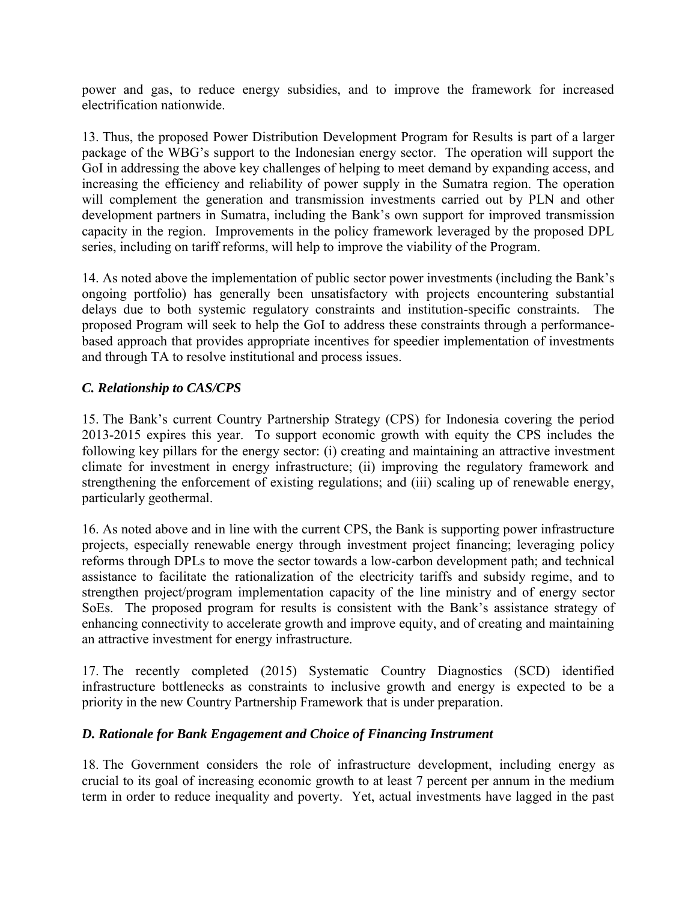power and gas, to reduce energy subsidies, and to improve the framework for increased electrification nationwide.

13. Thus, the proposed Power Distribution Development Program for Results is part of a larger package of the WBG's support to the Indonesian energy sector. The operation will support the GoI in addressing the above key challenges of helping to meet demand by expanding access, and increasing the efficiency and reliability of power supply in the Sumatra region. The operation will complement the generation and transmission investments carried out by PLN and other development partners in Sumatra, including the Bank's own support for improved transmission capacity in the region. Improvements in the policy framework leveraged by the proposed DPL series, including on tariff reforms, will help to improve the viability of the Program.

14. As noted above the implementation of public sector power investments (including the Bank's ongoing portfolio) has generally been unsatisfactory with projects encountering substantial delays due to both systemic regulatory constraints and institution-specific constraints. The proposed Program will seek to help the GoI to address these constraints through a performancebased approach that provides appropriate incentives for speedier implementation of investments and through TA to resolve institutional and process issues.

## *C. Relationship to CAS/CPS*

15. The Bank's current Country Partnership Strategy (CPS) for Indonesia covering the period 2013-2015 expires this year. To support economic growth with equity the CPS includes the following key pillars for the energy sector: (i) creating and maintaining an attractive investment climate for investment in energy infrastructure; (ii) improving the regulatory framework and strengthening the enforcement of existing regulations; and (iii) scaling up of renewable energy, particularly geothermal.

16. As noted above and in line with the current CPS, the Bank is supporting power infrastructure projects, especially renewable energy through investment project financing; leveraging policy reforms through DPLs to move the sector towards a low-carbon development path; and technical assistance to facilitate the rationalization of the electricity tariffs and subsidy regime, and to strengthen project/program implementation capacity of the line ministry and of energy sector SoEs. The proposed program for results is consistent with the Bank's assistance strategy of enhancing connectivity to accelerate growth and improve equity, and of creating and maintaining an attractive investment for energy infrastructure.

17. The recently completed (2015) Systematic Country Diagnostics (SCD) identified infrastructure bottlenecks as constraints to inclusive growth and energy is expected to be a priority in the new Country Partnership Framework that is under preparation.

## *D. Rationale for Bank Engagement and Choice of Financing Instrument*

18. The Government considers the role of infrastructure development, including energy as crucial to its goal of increasing economic growth to at least 7 percent per annum in the medium term in order to reduce inequality and poverty. Yet, actual investments have lagged in the past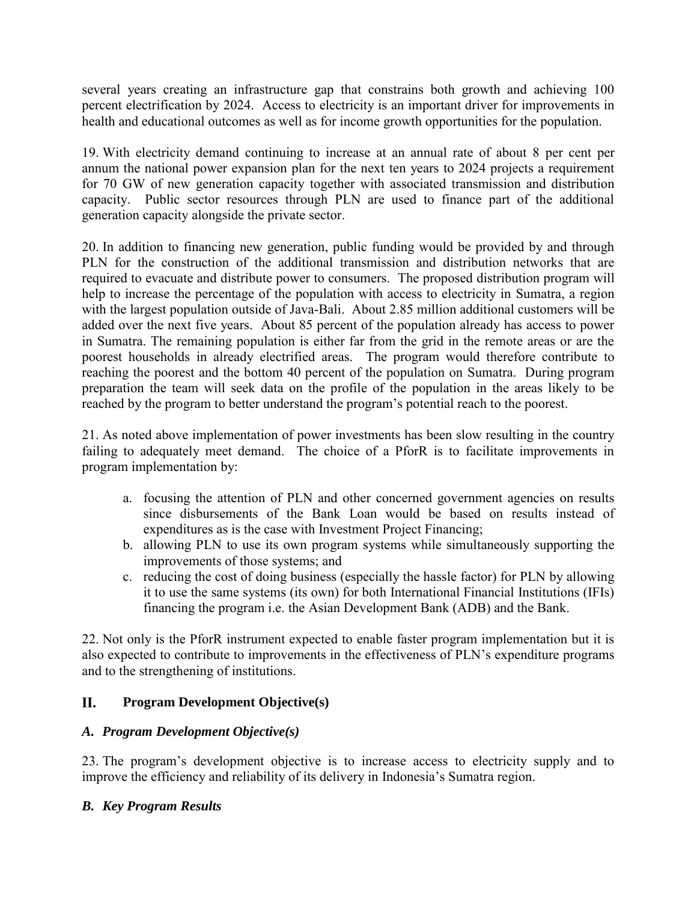several years creating an infrastructure gap that constrains both growth and achieving 100 percent electrification by 2024. Access to electricity is an important driver for improvements in health and educational outcomes as well as for income growth opportunities for the population.

19. With electricity demand continuing to increase at an annual rate of about 8 per cent per annum the national power expansion plan for the next ten years to 2024 projects a requirement for 70 GW of new generation capacity together with associated transmission and distribution capacity. Public sector resources through PLN are used to finance part of the additional generation capacity alongside the private sector.

20. In addition to financing new generation, public funding would be provided by and through PLN for the construction of the additional transmission and distribution networks that are required to evacuate and distribute power to consumers. The proposed distribution program will help to increase the percentage of the population with access to electricity in Sumatra, a region with the largest population outside of Java-Bali. About 2.85 million additional customers will be added over the next five years. About 85 percent of the population already has access to power in Sumatra. The remaining population is either far from the grid in the remote areas or are the poorest households in already electrified areas. The program would therefore contribute to reaching the poorest and the bottom 40 percent of the population on Sumatra. During program preparation the team will seek data on the profile of the population in the areas likely to be reached by the program to better understand the program's potential reach to the poorest.

21. As noted above implementation of power investments has been slow resulting in the country failing to adequately meet demand. The choice of a PforR is to facilitate improvements in program implementation by:

- a. focusing the attention of PLN and other concerned government agencies on results since disbursements of the Bank Loan would be based on results instead of expenditures as is the case with Investment Project Financing;
- b. allowing PLN to use its own program systems while simultaneously supporting the improvements of those systems; and
- c. reducing the cost of doing business (especially the hassle factor) for PLN by allowing it to use the same systems (its own) for both International Financial Institutions (IFIs) financing the program i.e. the Asian Development Bank (ADB) and the Bank.

22. Not only is the PforR instrument expected to enable faster program implementation but it is also expected to contribute to improvements in the effectiveness of PLN's expenditure programs and to the strengthening of institutions.

#### II. **Program Development Objective(s)**

# *A. Program Development Objective(s)*

23. The program's development objective is to increase access to electricity supply and to improve the efficiency and reliability of its delivery in Indonesia's Sumatra region.

# *B. Key Program Results*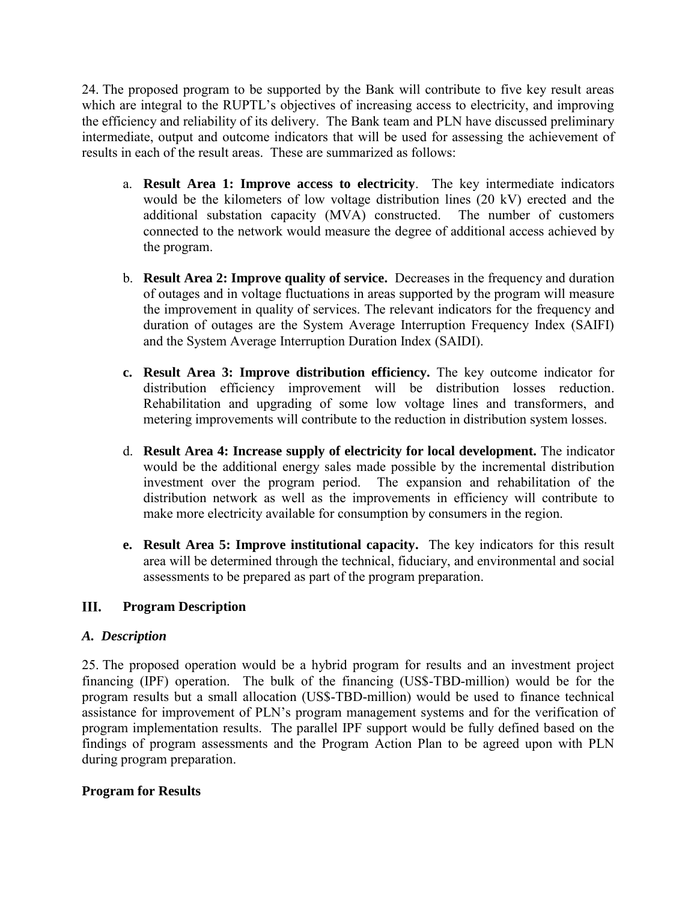24. The proposed program to be supported by the Bank will contribute to five key result areas which are integral to the RUPTL's objectives of increasing access to electricity, and improving the efficiency and reliability of its delivery. The Bank team and PLN have discussed preliminary intermediate, output and outcome indicators that will be used for assessing the achievement of results in each of the result areas. These are summarized as follows:

- a. **Result Area 1: Improve access to electricity**. The key intermediate indicators would be the kilometers of low voltage distribution lines (20 kV) erected and the additional substation capacity (MVA) constructed. The number of customers connected to the network would measure the degree of additional access achieved by the program.
- b. **Result Area 2: Improve quality of service.** Decreases in the frequency and duration of outages and in voltage fluctuations in areas supported by the program will measure the improvement in quality of services. The relevant indicators for the frequency and duration of outages are the System Average Interruption Frequency Index (SAIFI) and the System Average Interruption Duration Index (SAIDI).
- **c. Result Area 3: Improve distribution efficiency.** The key outcome indicator for distribution efficiency improvement will be distribution losses reduction. Rehabilitation and upgrading of some low voltage lines and transformers, and metering improvements will contribute to the reduction in distribution system losses.
- d. **Result Area 4: Increase supply of electricity for local development.** The indicator would be the additional energy sales made possible by the incremental distribution investment over the program period. The expansion and rehabilitation of the distribution network as well as the improvements in efficiency will contribute to make more electricity available for consumption by consumers in the region.
- **e. Result Area 5: Improve institutional capacity.** The key indicators for this result area will be determined through the technical, fiduciary, and environmental and social assessments to be prepared as part of the program preparation.

#### III. **Program Description**

## *A. Description*

25. The proposed operation would be a hybrid program for results and an investment project financing (IPF) operation. The bulk of the financing (US\$-TBD-million) would be for the program results but a small allocation (US\$-TBD-million) would be used to finance technical assistance for improvement of PLN's program management systems and for the verification of program implementation results. The parallel IPF support would be fully defined based on the findings of program assessments and the Program Action Plan to be agreed upon with PLN during program preparation.

## **Program for Results**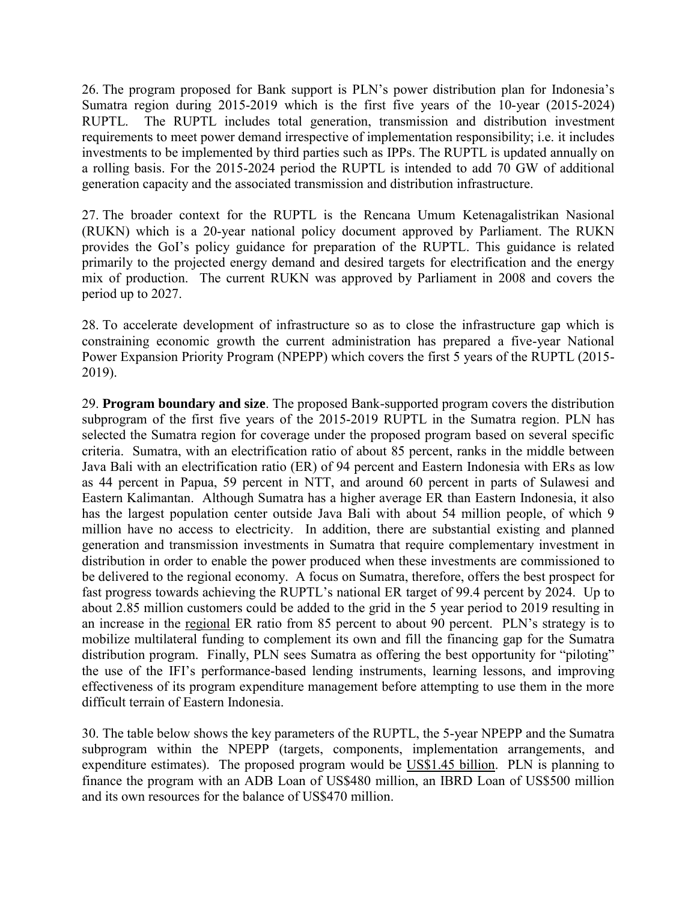26. The program proposed for Bank support is PLN's power distribution plan for Indonesia's Sumatra region during 2015-2019 which is the first five years of the 10-year (2015-2024) RUPTL. The RUPTL includes total generation, transmission and distribution investment requirements to meet power demand irrespective of implementation responsibility; i.e. it includes investments to be implemented by third parties such as IPPs. The RUPTL is updated annually on a rolling basis. For the 2015-2024 period the RUPTL is intended to add 70 GW of additional generation capacity and the associated transmission and distribution infrastructure.

27. The broader context for the RUPTL is the Rencana Umum Ketenagalistrikan Nasional (RUKN) which is a 20-year national policy document approved by Parliament. The RUKN provides the GoI's policy guidance for preparation of the RUPTL. This guidance is related primarily to the projected energy demand and desired targets for electrification and the energy mix of production. The current RUKN was approved by Parliament in 2008 and covers the period up to 2027.

28. To accelerate development of infrastructure so as to close the infrastructure gap which is constraining economic growth the current administration has prepared a five-year National Power Expansion Priority Program (NPEPP) which covers the first 5 years of the RUPTL (2015- 2019).

29. **Program boundary and size**. The proposed Bank-supported program covers the distribution subprogram of the first five years of the 2015-2019 RUPTL in the Sumatra region. PLN has selected the Sumatra region for coverage under the proposed program based on several specific criteria. Sumatra, with an electrification ratio of about 85 percent, ranks in the middle between Java Bali with an electrification ratio (ER) of 94 percent and Eastern Indonesia with ERs as low as 44 percent in Papua, 59 percent in NTT, and around 60 percent in parts of Sulawesi and Eastern Kalimantan. Although Sumatra has a higher average ER than Eastern Indonesia, it also has the largest population center outside Java Bali with about 54 million people, of which 9 million have no access to electricity. In addition, there are substantial existing and planned generation and transmission investments in Sumatra that require complementary investment in distribution in order to enable the power produced when these investments are commissioned to be delivered to the regional economy. A focus on Sumatra, therefore, offers the best prospect for fast progress towards achieving the RUPTL's national ER target of 99.4 percent by 2024. Up to about 2.85 million customers could be added to the grid in the 5 year period to 2019 resulting in an increase in the regional ER ratio from 85 percent to about 90 percent. PLN's strategy is to mobilize multilateral funding to complement its own and fill the financing gap for the Sumatra distribution program. Finally, PLN sees Sumatra as offering the best opportunity for "piloting" the use of the IFI's performance-based lending instruments, learning lessons, and improving effectiveness of its program expenditure management before attempting to use them in the more difficult terrain of Eastern Indonesia.

30. The table below shows the key parameters of the RUPTL, the 5-year NPEPP and the Sumatra subprogram within the NPEPP (targets, components, implementation arrangements, and expenditure estimates). The proposed program would be US\$1.45 billion. PLN is planning to finance the program with an ADB Loan of US\$480 million, an IBRD Loan of US\$500 million and its own resources for the balance of US\$470 million.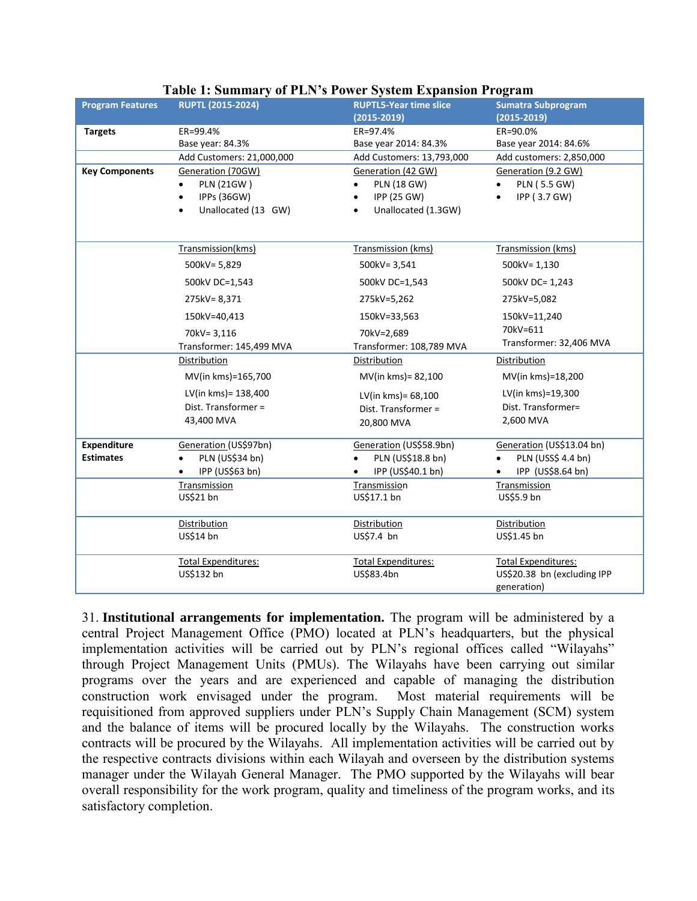| <b>Program Features</b> | <b>RUPTL (2015-2024)</b>     | <b>RUPTL5-Year time slice</b> | <b>Sumatra Subprogram</b>       |
|-------------------------|------------------------------|-------------------------------|---------------------------------|
|                         |                              | $(2015 - 2019)$               | $(2015 - 2019)$                 |
| <b>Targets</b>          | ER=99.4%                     | ER=97.4%                      | ER=90.0%                        |
|                         | Base year: 84.3%             | Base year 2014: 84.3%         | Base year 2014: 84.6%           |
|                         | Add Customers: 21,000,000    | Add Customers: 13,793,000     | Add customers: 2,850,000        |
| <b>Key Components</b>   | Generation (70GW)            | Generation (42 GW)            | Generation (9.2 GW)             |
|                         | <b>PLN (21GW)</b>            | <b>PLN (18 GW)</b>            | PLN (5.5 GW)                    |
|                         | IPPs (36GW)<br>$\bullet$     | IPP (25 GW)                   | IPP (3.7 GW)<br>$\bullet$       |
|                         | Unallocated (13 GW)          | Unallocated (1.3GW)           |                                 |
|                         |                              |                               |                                 |
|                         | Transmission(kms)            | Transmission (kms)            | Transmission (kms)              |
|                         | 500kV= 5,829                 | 500kV=3,541                   | 500kV=1,130                     |
|                         | 500kV DC=1,543               | 500kV DC=1,543                | 500kV DC= 1,243                 |
|                         | 275kV=8,371                  | 275kV=5,262                   | 275kV=5,082                     |
|                         | 150kV=40,413                 | 150kV=33,563                  | 150kV=11,240                    |
|                         | 70kV= 3,116                  | 70kV=2,689                    | 70kV=611                        |
|                         | Transformer: 145,499 MVA     | Transformer: 108,789 MVA      | Transformer: 32,406 MVA         |
|                         | Distribution                 | Distribution                  | Distribution                    |
|                         | MV(in kms)=165,700           | MV(in kms) = 82,100           | MV(in kms)=18,200               |
|                         | LV(in kms) = 138,400         | LV(in kms)= 68,100            | LV(in kms)=19,300               |
|                         | Dist. Transformer =          | Dist. Transformer =           | Dist. Transformer=              |
|                         | 43,400 MVA                   | 20,800 MVA                    | 2,600 MVA                       |
|                         |                              |                               |                                 |
| Expenditure             | Generation (US\$97bn)        | Generation (US\$58.9bn)       | Generation (US\$13.04 bn)       |
| <b>Estimates</b>        | PLN (US\$34 bn)<br>$\bullet$ | PLN (US\$18.8 bn)             | PLN (USS\$ 4.4 bn)<br>$\bullet$ |
|                         | IPP (US\$63 bn)              | IPP (US\$40.1 bn)             | IPP (US\$8.64 bn)<br>$\bullet$  |
|                         | Transmission                 | Transmission                  | Transmission                    |
|                         | US\$21 bn                    | US\$17.1 bn                   | US\$5.9 bn                      |
|                         | Distribution                 | Distribution                  | Distribution                    |
|                         | US\$14 bn                    | US\$7.4 bn                    | US\$1.45 bn                     |
|                         |                              |                               |                                 |
|                         | <b>Total Expenditures:</b>   | <b>Total Expenditures:</b>    | <b>Total Expenditures:</b>      |
|                         | US\$132 bn                   | US\$83.4bn                    | US\$20.38 bn (excluding IPP     |
|                         |                              |                               | generation)                     |

#### **Table 1: Summary of PLN's Power System Expansion Program**

31. **Institutional arrangements for implementation.** The program will be administered by a central Project Management Office (PMO) located at PLN's headquarters, but the physical implementation activities will be carried out by PLN's regional offices called "Wilayahs" through Project Management Units (PMUs). The Wilayahs have been carrying out similar programs over the years and are experienced and capable of managing the distribution construction work envisaged under the program. Most material requirements will be requisitioned from approved suppliers under PLN's Supply Chain Management (SCM) system and the balance of items will be procured locally by the Wilayahs. The construction works contracts will be procured by the Wilayahs. All implementation activities will be carried out by the respective contracts divisions within each Wilayah and overseen by the distribution systems manager under the Wilayah General Manager. The PMO supported by the Wilayahs will bear overall responsibility for the work program, quality and timeliness of the program works, and its satisfactory completion.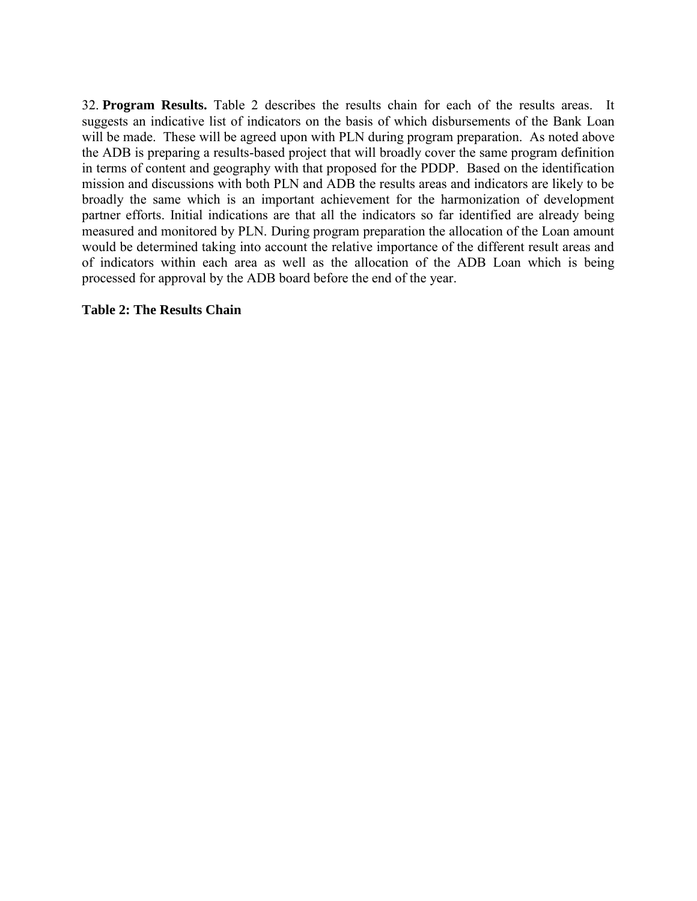32. **Program Results.** Table 2 describes the results chain for each of the results areas. It suggests an indicative list of indicators on the basis of which disbursements of the Bank Loan will be made. These will be agreed upon with PLN during program preparation. As noted above the ADB is preparing a results-based project that will broadly cover the same program definition in terms of content and geography with that proposed for the PDDP. Based on the identification mission and discussions with both PLN and ADB the results areas and indicators are likely to be broadly the same which is an important achievement for the harmonization of development partner efforts. Initial indications are that all the indicators so far identified are already being measured and monitored by PLN. During program preparation the allocation of the Loan amount would be determined taking into account the relative importance of the different result areas and of indicators within each area as well as the allocation of the ADB Loan which is being processed for approval by the ADB board before the end of the year.

#### **Table 2: The Results Chain**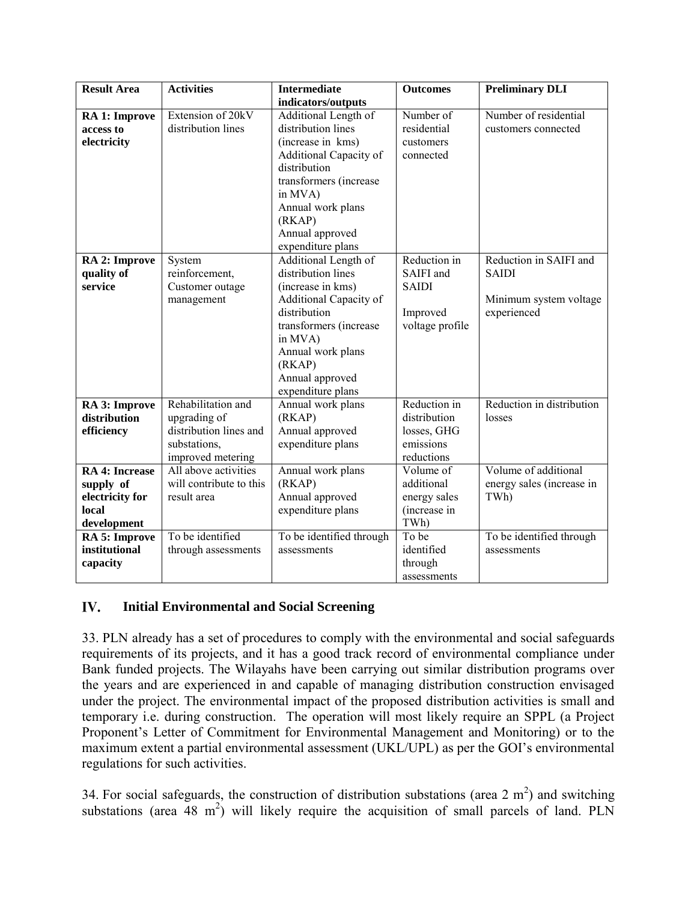| <b>Result Area</b>    | <b>Activities</b>       | <b>Intermediate</b>           | <b>Outcomes</b> | <b>Preliminary DLI</b>    |
|-----------------------|-------------------------|-------------------------------|-----------------|---------------------------|
|                       |                         | indicators/outputs            |                 |                           |
| RA 1: Improve         | Extension of 20kV       | Additional Length of          | Number of       | Number of residential     |
| access to             | distribution lines      | distribution lines            | residential     | customers connected       |
| electricity           |                         | (increase in kms)             | customers       |                           |
|                       |                         | <b>Additional Capacity of</b> | connected       |                           |
|                       |                         | distribution                  |                 |                           |
|                       |                         | transformers (increase        |                 |                           |
|                       |                         | in MVA)                       |                 |                           |
|                       |                         | Annual work plans             |                 |                           |
|                       |                         | (RKAP)                        |                 |                           |
|                       |                         | Annual approved               |                 |                           |
|                       |                         | expenditure plans             |                 |                           |
| RA 2: Improve         | System                  | Additional Length of          | Reduction in    | Reduction in SAIFI and    |
| quality of            | reinforcement,          | distribution lines            | SAIFI and       | <b>SAIDI</b>              |
| service               | Customer outage         | (increase in kms)             | <b>SAIDI</b>    |                           |
|                       | management              | Additional Capacity of        |                 | Minimum system voltage    |
|                       |                         | distribution                  | Improved        | experienced               |
|                       |                         | transformers (increase        | voltage profile |                           |
|                       |                         | in MVA)                       |                 |                           |
|                       |                         | Annual work plans             |                 |                           |
|                       |                         | (RKAP)                        |                 |                           |
|                       |                         | Annual approved               |                 |                           |
|                       |                         | expenditure plans             |                 |                           |
| RA 3: Improve         | Rehabilitation and      | Annual work plans             | Reduction in    | Reduction in distribution |
| distribution          | upgrading of            | (RKAP)                        | distribution    | losses                    |
| efficiency            | distribution lines and  | Annual approved               | losses, GHG     |                           |
|                       | substations,            | expenditure plans             | emissions       |                           |
|                       | improved metering       |                               | reductions      |                           |
| <b>RA 4: Increase</b> | All above activities    | Annual work plans             | Volume of       | Volume of additional      |
| supply of             | will contribute to this | (RKAP)                        | additional      | energy sales (increase in |
| electricity for       | result area             | Annual approved               | energy sales    | TWh)                      |
| local                 |                         | expenditure plans             | (increase in    |                           |
| development           |                         |                               | TWh)            |                           |
| RA 5: Improve         | To be identified        | To be identified through      | To be           | To be identified through  |
| institutional         | through assessments     | assessments                   | identified      | assessments               |
| capacity              |                         |                               | through         |                           |
|                       |                         |                               | assessments     |                           |

#### IV. **Initial Environmental and Social Screening**

33. PLN already has a set of procedures to comply with the environmental and social safeguards requirements of its projects, and it has a good track record of environmental compliance under Bank funded projects. The Wilayahs have been carrying out similar distribution programs over the years and are experienced in and capable of managing distribution construction envisaged under the project. The environmental impact of the proposed distribution activities is small and temporary i.e. during construction. The operation will most likely require an SPPL (a Project Proponent's Letter of Commitment for Environmental Management and Monitoring) or to the maximum extent a partial environmental assessment (UKL/UPL) as per the GOI's environmental regulations for such activities.

34. For social safeguards, the construction of distribution substations (area 2  $m<sup>2</sup>$ ) and switching substations (area 48  $m^2$ ) will likely require the acquisition of small parcels of land. PLN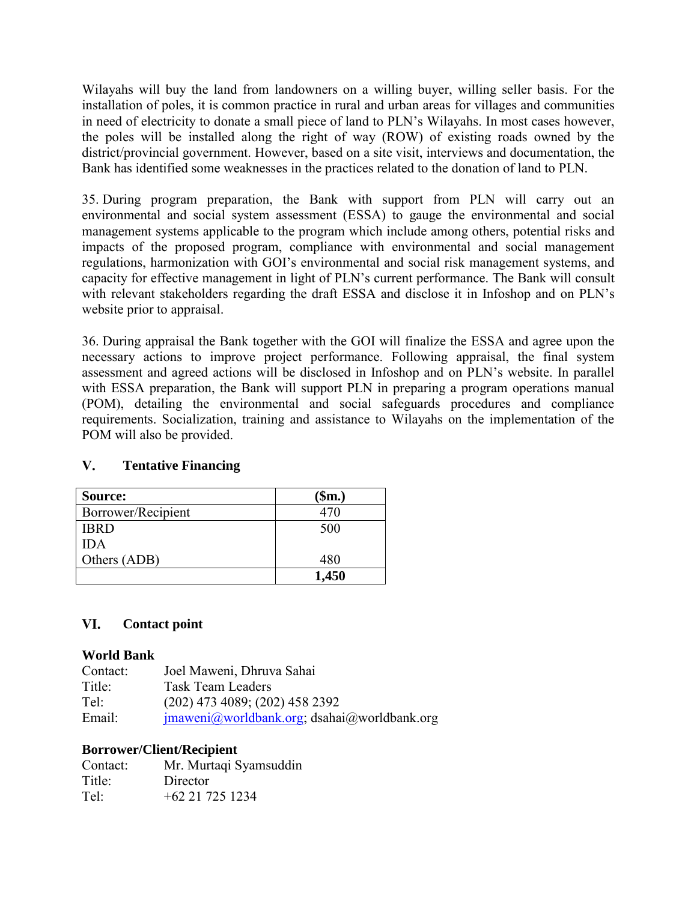Wilayahs will buy the land from landowners on a willing buyer, willing seller basis. For the installation of poles, it is common practice in rural and urban areas for villages and communities in need of electricity to donate a small piece of land to PLN's Wilayahs. In most cases however, the poles will be installed along the right of way (ROW) of existing roads owned by the district/provincial government. However, based on a site visit, interviews and documentation, the Bank has identified some weaknesses in the practices related to the donation of land to PLN.

35. During program preparation, the Bank with support from PLN will carry out an environmental and social system assessment (ESSA) to gauge the environmental and social management systems applicable to the program which include among others, potential risks and impacts of the proposed program, compliance with environmental and social management regulations, harmonization with GOI's environmental and social risk management systems, and capacity for effective management in light of PLN's current performance. The Bank will consult with relevant stakeholders regarding the draft ESSA and disclose it in Infoshop and on PLN's website prior to appraisal.

36. During appraisal the Bank together with the GOI will finalize the ESSA and agree upon the necessary actions to improve project performance. Following appraisal, the final system assessment and agreed actions will be disclosed in Infoshop and on PLN's website. In parallel with ESSA preparation, the Bank will support PLN in preparing a program operations manual (POM), detailing the environmental and social safeguards procedures and compliance requirements. Socialization, training and assistance to Wilayahs on the implementation of the POM will also be provided.

#### $V_{\star}$ **Tentative Financing**

| Source:            | (\$m.) |
|--------------------|--------|
| Borrower/Recipient | 470    |
| <b>IBRD</b>        | 500    |
| <b>IDA</b>         |        |
| Others (ADB)       | 480    |
|                    | 1,450  |

#### VI. **Contact point**

## **World Bank**

| Contact: | Joel Maweni, Dhruva Sahai                                        |
|----------|------------------------------------------------------------------|
| Title:   | <b>Task Team Leaders</b>                                         |
| Tel:     | $(202)$ 473 4089; (202) 458 2392                                 |
| Email:   | $j$ maweni $\omega$ worldbank.org; dsahai $\omega$ worldbank.org |

## **Borrower/Client/Recipient**

| Contact: | Mr. Murtaqi Syamsuddin |
|----------|------------------------|
| Title:   | Director               |
| Tel:     | $+62$ 21 725 1234      |